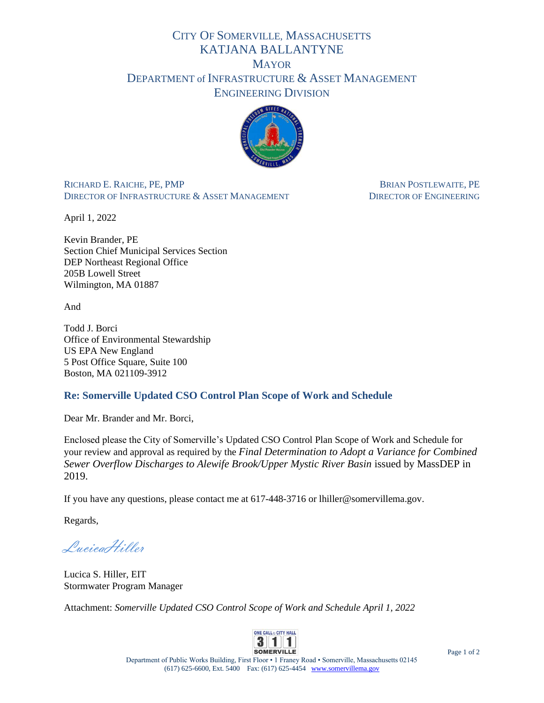## CITY OF SOMERVILLE, MASSACHUSETTS KATJANA BALLANTYNE **MAYOR** DEPARTMENT of INFRASTRUCTURE & ASSET MANAGEMENT ENGINEERING DIVISION



RICHARD E. RAICHE, PE, PMP BRIAN POSTLEWAITE, PE DIRECTOR OF INFRASTRUCTURE & ASSET MANAGEMENT DIRECTOR OF ENGINEERING

April 1, 2022

Kevin Brander, PE Section Chief Municipal Services Section DEP Northeast Regional Office 205B Lowell Street Wilmington, MA 01887

And

Todd J. Borci Office of Environmental Stewardship US EPA New England 5 Post Office Square, Suite 100 Boston, MA 021109-3912

## **Re: Somerville Updated CSO Control Plan Scope of Work and Schedule**

Dear Mr. Brander and Mr. Borci,

Enclosed please the City of Somerville's Updated CSO Control Plan Scope of Work and Schedule for your review and approval as required by the *Final Determination to Adopt a Variance for Combined Sewer Overflow Discharges to Alewife Brook/Upper Mystic River Basin* issued by MassDEP in 2019.

If you have any questions, please contact me at 617-448-3716 or lhiller@somervillema.gov.

Regards,

LucicaHiller

Lucica S. Hiller, EIT Stormwater Program Manager

Attachment: *Somerville Updated CSO Control Scope of Work and Schedule April 1, 2022*



Department of Public Works Building, First Floor • 1 Franey Road • Somerville, Massachusetts 02145 (617) 625-6600, Ext. 5400 Fax: (617) 625-4454 [www.somervillema.gov](http://www.somervillema.gov/)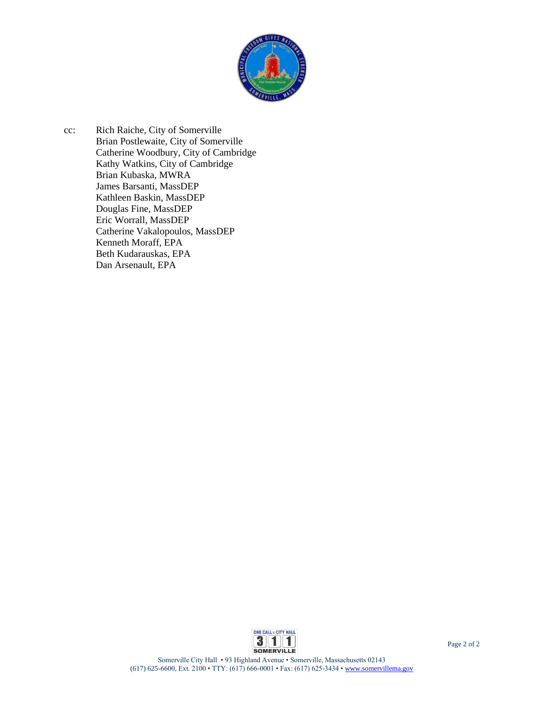

cc: Rich Raiche, City of Somerville Brian Postlewaite, City of Somerville Catherine Woodbury, City of Cambridge Kathy Watkins, City of Cambridge Brian Kubaska, MWRA James Barsanti, MassDEP Kathleen Baskin, MassDEP Douglas Fine, MassDEP Eric Worrall, MassDEP Catherine Vakalopoulos, MassDEP Kenneth Moraff, EPA Beth Kudarauskas, EPA Dan Arsenault, EPA

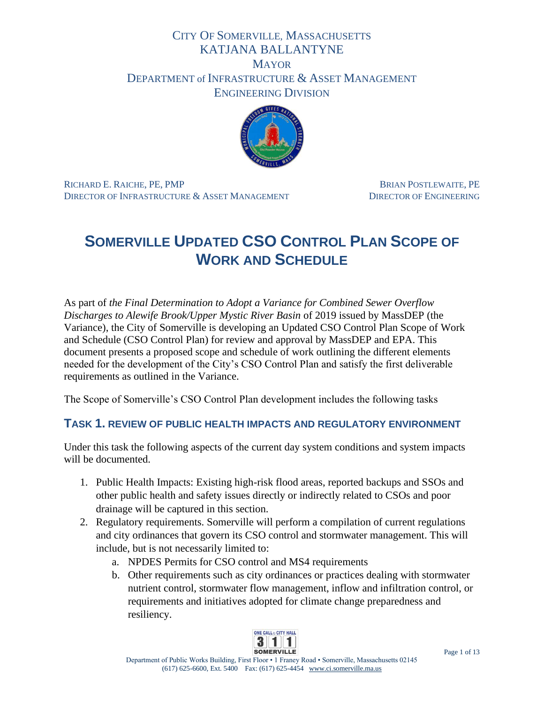# CITY OF SOMERVILLE, MASSACHUSETTS KATJANA BALLANTYNE **MAYOR** DEPARTMENT of INFRASTRUCTURE & ASSET MANAGEMENT ENGINEERING DIVISION



RICHARD E. RAICHE, PE, PMP BRIAN POSTLEWAITE, PE DIRECTOR OF INFRASTRUCTURE & ASSET MANAGEMENT DIRECTOR OF ENGINEERING

# **SOMERVILLE UPDATED CSO CONTROL PLAN SCOPE OF WORK AND SCHEDULE**

As part of *the Final Determination to Adopt a Variance for Combined Sewer Overflow Discharges to Alewife Brook/Upper Mystic River Basin* of 2019 issued by MassDEP (the Variance), the City of Somerville is developing an Updated CSO Control Plan Scope of Work and Schedule (CSO Control Plan) for review and approval by MassDEP and EPA. This document presents a proposed scope and schedule of work outlining the different elements needed for the development of the City's CSO Control Plan and satisfy the first deliverable requirements as outlined in the Variance.

The Scope of Somerville's CSO Control Plan development includes the following tasks

# **TASK 1. REVIEW OF PUBLIC HEALTH IMPACTS AND REGULATORY ENVIRONMENT**

Under this task the following aspects of the current day system conditions and system impacts will be documented.

- 1. Public Health Impacts: Existing high-risk flood areas, reported backups and SSOs and other public health and safety issues directly or indirectly related to CSOs and poor drainage will be captured in this section.
- 2. Regulatory requirements. Somerville will perform a compilation of current regulations and city ordinances that govern its CSO control and stormwater management. This will include, but is not necessarily limited to:
	- a. NPDES Permits for CSO control and MS4 requirements
	- b. Other requirements such as city ordinances or practices dealing with stormwater nutrient control, stormwater flow management, inflow and infiltration control, or requirements and initiatives adopted for climate change preparedness and resiliency.

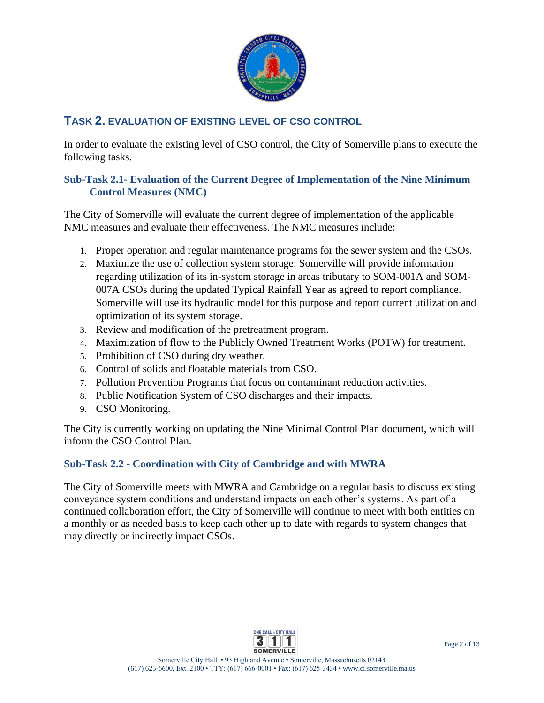

# **TASK 2. EVALUATION OF EXISTING LEVEL OF CSO CONTROL**

In order to evaluate the existing level of CSO control, the City of Somerville plans to execute the following tasks.

#### **Sub-Task 2.1- Evaluation of the Current Degree of Implementation of the Nine Minimum Control Measures (NMC)**

The City of Somerville will evaluate the current degree of implementation of the applicable NMC measures and evaluate their effectiveness. The NMC measures include:

- 1. Proper operation and regular maintenance programs for the sewer system and the CSOs.
- 2. Maximize the use of collection system storage: Somerville will provide information regarding utilization of its in-system storage in areas tributary to SOM-001A and SOM-007A CSOs during the updated Typical Rainfall Year as agreed to report compliance. Somerville will use its hydraulic model for this purpose and report current utilization and optimization of its system storage.
- 3. Review and modification of the pretreatment program.
- 4. Maximization of flow to the Publicly Owned Treatment Works (POTW) for treatment.
- 5. Prohibition of CSO during dry weather.
- 6. Control of solids and floatable materials from CSO.
- 7. Pollution Prevention Programs that focus on contaminant reduction activities.
- 8. Public Notification System of CSO discharges and their impacts.
- 9. CSO Monitoring.

The City is currently working on updating the Nine Minimal Control Plan document, which will inform the CSO Control Plan.

## **Sub-Task 2.2 - Coordination with City of Cambridge and with MWRA**

The City of Somerville meets with MWRA and Cambridge on a regular basis to discuss existing conveyance system conditions and understand impacts on each other's systems. As part of a continued collaboration effort, the City of Somerville will continue to meet with both entities on a monthly or as needed basis to keep each other up to date with regards to system changes that may directly or indirectly impact CSOs.

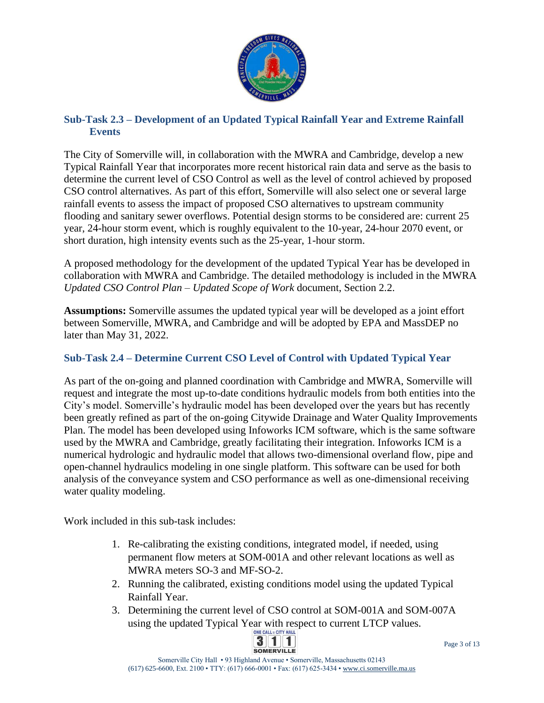

#### **Sub-Task 2.3 – Development of an Updated Typical Rainfall Year and Extreme Rainfall Events**

The City of Somerville will, in collaboration with the MWRA and Cambridge, develop a new Typical Rainfall Year that incorporates more recent historical rain data and serve as the basis to determine the current level of CSO Control as well as the level of control achieved by proposed CSO control alternatives. As part of this effort, Somerville will also select one or several large rainfall events to assess the impact of proposed CSO alternatives to upstream community flooding and sanitary sewer overflows. Potential design storms to be considered are: current 25 year, 24-hour storm event, which is roughly equivalent to the 10-year, 24-hour 2070 event, or short duration, high intensity events such as the 25-year, 1-hour storm.

A proposed methodology for the development of the updated Typical Year has be developed in collaboration with MWRA and Cambridge. The detailed methodology is included in the MWRA *Updated CSO Control Plan – Updated Scope of Work* document, Section 2.2.

**Assumptions:** Somerville assumes the updated typical year will be developed as a joint effort between Somerville, MWRA, and Cambridge and will be adopted by EPA and MassDEP no later than May 31, 2022.

## **Sub-Task 2.4 – Determine Current CSO Level of Control with Updated Typical Year**

As part of the on-going and planned coordination with Cambridge and MWRA, Somerville will request and integrate the most up-to-date conditions hydraulic models from both entities into the City's model. Somerville's hydraulic model has been developed over the years but has recently been greatly refined as part of the on-going Citywide Drainage and Water Quality Improvements Plan. The model has been developed using Infoworks ICM software, which is the same software used by the MWRA and Cambridge, greatly facilitating their integration. Infoworks ICM is a numerical hydrologic and hydraulic model that allows two-dimensional overland flow, pipe and open-channel hydraulics modeling in one single platform. This software can be used for both analysis of the conveyance system and CSO performance as well as one-dimensional receiving water quality modeling.

Work included in this sub-task includes:

- 1. Re-calibrating the existing conditions, integrated model, if needed, using permanent flow meters at SOM-001A and other relevant locations as well as MWRA meters SO-3 and MF-SO-2.
- 2. Running the calibrated, existing conditions model using the updated Typical Rainfall Year.
- 3. Determining the current level of CSO control at SOM-001A and SOM-007A using the updated Typical Year with respect to current LTCP values.

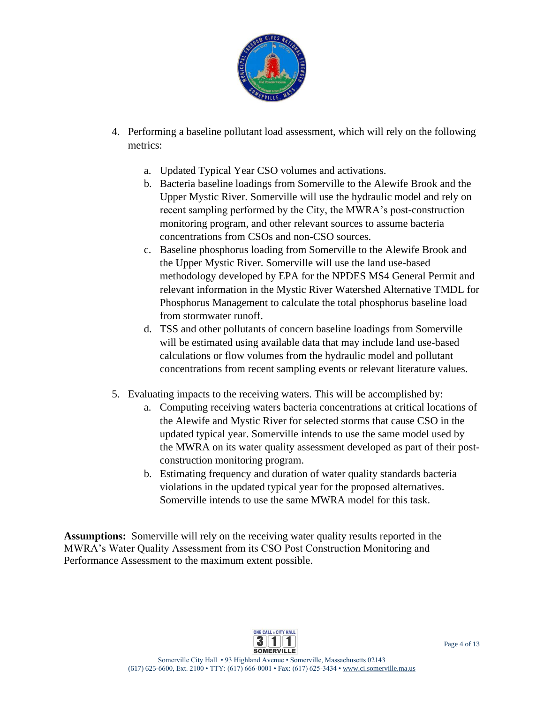

- 4. Performing a baseline pollutant load assessment, which will rely on the following metrics:
	- a. Updated Typical Year CSO volumes and activations.
	- b. Bacteria baseline loadings from Somerville to the Alewife Brook and the Upper Mystic River. Somerville will use the hydraulic model and rely on recent sampling performed by the City, the MWRA's post-construction monitoring program, and other relevant sources to assume bacteria concentrations from CSOs and non-CSO sources.
	- c. Baseline phosphorus loading from Somerville to the Alewife Brook and the Upper Mystic River. Somerville will use the land use-based methodology developed by EPA for the NPDES MS4 General Permit and relevant information in the Mystic River Watershed Alternative TMDL for Phosphorus Management to calculate the total phosphorus baseline load from stormwater runoff.
	- d. TSS and other pollutants of concern baseline loadings from Somerville will be estimated using available data that may include land use-based calculations or flow volumes from the hydraulic model and pollutant concentrations from recent sampling events or relevant literature values.
- 5. Evaluating impacts to the receiving waters. This will be accomplished by:
	- a. Computing receiving waters bacteria concentrations at critical locations of the Alewife and Mystic River for selected storms that cause CSO in the updated typical year. Somerville intends to use the same model used by the MWRA on its water quality assessment developed as part of their postconstruction monitoring program.
	- b. Estimating frequency and duration of water quality standards bacteria violations in the updated typical year for the proposed alternatives. Somerville intends to use the same MWRA model for this task.

**Assumptions:** Somerville will rely on the receiving water quality results reported in the MWRA's Water Quality Assessment from its CSO Post Construction Monitoring and Performance Assessment to the maximum extent possible.

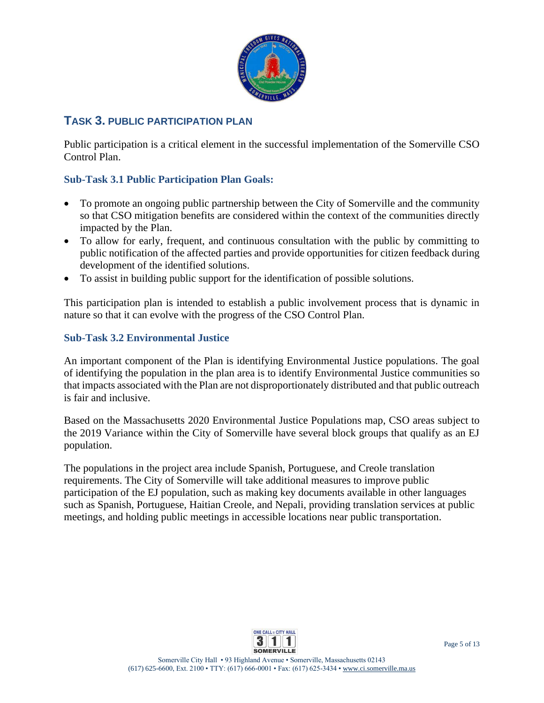

# **TASK 3. PUBLIC PARTICIPATION PLAN**

Public participation is a critical element in the successful implementation of the Somerville CSO Control Plan.

#### **Sub-Task 3.1 Public Participation Plan Goals:**

- To promote an ongoing public partnership between the City of Somerville and the community so that CSO mitigation benefits are considered within the context of the communities directly impacted by the Plan.
- To allow for early, frequent, and continuous consultation with the public by committing to public notification of the affected parties and provide opportunities for citizen feedback during development of the identified solutions.
- To assist in building public support for the identification of possible solutions.

This participation plan is intended to establish a public involvement process that is dynamic in nature so that it can evolve with the progress of the CSO Control Plan.

#### **Sub-Task 3.2 Environmental Justice**

An important component of the Plan is identifying Environmental Justice populations. The goal of identifying the population in the plan area is to identify Environmental Justice communities so that impacts associated with the Plan are not disproportionately distributed and that public outreach is fair and inclusive.

Based on the Massachusetts 2020 Environmental Justice Populations map, CSO areas subject to the 2019 Variance within the City of Somerville have several block groups that qualify as an EJ population.

The populations in the project area include Spanish, Portuguese, and Creole translation requirements. The City of Somerville will take additional measures to improve public participation of the EJ population, such as making key documents available in other languages such as Spanish, Portuguese, Haitian Creole, and Nepali, providing translation services at public meetings, and holding public meetings in accessible locations near public transportation.

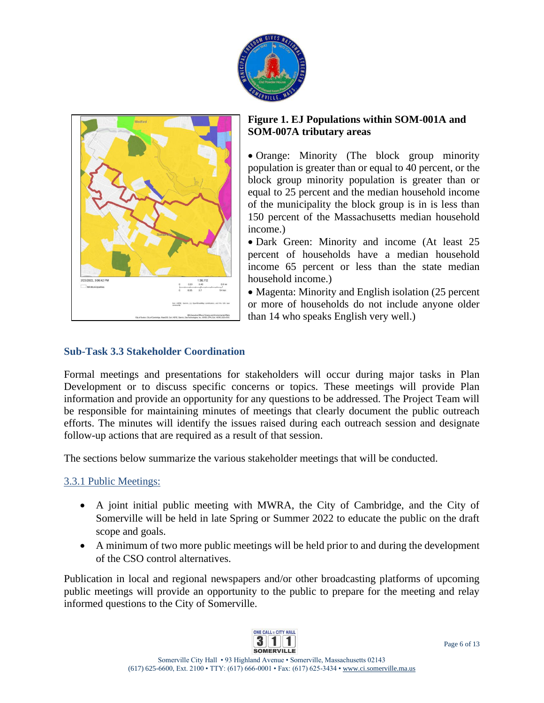



#### **Figure 1. EJ Populations within SOM-001A and SOM-007A tributary areas**

• Orange: Minority (The block group minority population is greater than or equal to 40 percent, or the block group minority population is greater than or equal to 25 percent and the median household income of the municipality the block group is in is less than 150 percent of the Massachusetts median household income.)

• Dark Green: Minority and income (At least 25 percent of households have a median household income 65 percent or less than the state median household income.)

• Magenta: Minority and English isolation (25 percent) or more of households do not include anyone older than 14 who speaks English very well.)

### **Sub-Task 3.3 Stakeholder Coordination**

Formal meetings and presentations for stakeholders will occur during major tasks in Plan Development or to discuss specific concerns or topics. These meetings will provide Plan information and provide an opportunity for any questions to be addressed. The Project Team will be responsible for maintaining minutes of meetings that clearly document the public outreach efforts. The minutes will identify the issues raised during each outreach session and designate follow-up actions that are required as a result of that session.

The sections below summarize the various stakeholder meetings that will be conducted.

## 3.3.1 Public Meetings:

- A joint initial public meeting with MWRA, the City of Cambridge, and the City of Somerville will be held in late Spring or Summer 2022 to educate the public on the draft scope and goals.
- A minimum of two more public meetings will be held prior to and during the development of the CSO control alternatives.

Publication in local and regional newspapers and/or other broadcasting platforms of upcoming public meetings will provide an opportunity to the public to prepare for the meeting and relay informed questions to the City of Somerville.

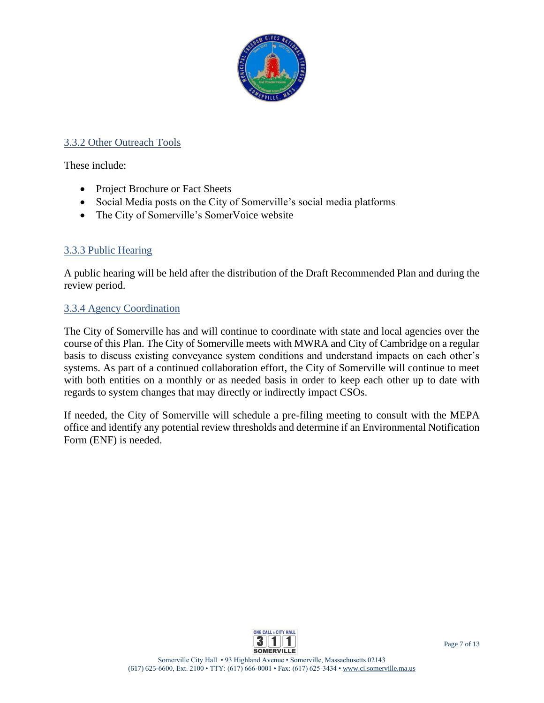

#### 3.3.2 Other Outreach Tools

These include:

- Project Brochure or Fact Sheets
- Social Media posts on the City of Somerville's social media platforms
- The City of Somerville's SomerVoice website

#### 3.3.3 Public Hearing

A public hearing will be held after the distribution of the Draft Recommended Plan and during the review period.

#### 3.3.4 Agency Coordination

The City of Somerville has and will continue to coordinate with state and local agencies over the course of this Plan. The City of Somerville meets with MWRA and City of Cambridge on a regular basis to discuss existing conveyance system conditions and understand impacts on each other's systems. As part of a continued collaboration effort, the City of Somerville will continue to meet with both entities on a monthly or as needed basis in order to keep each other up to date with regards to system changes that may directly or indirectly impact CSOs.

If needed, the City of Somerville will schedule a pre-filing meeting to consult with the MEPA office and identify any potential review thresholds and determine if an Environmental Notification Form (ENF) is needed.

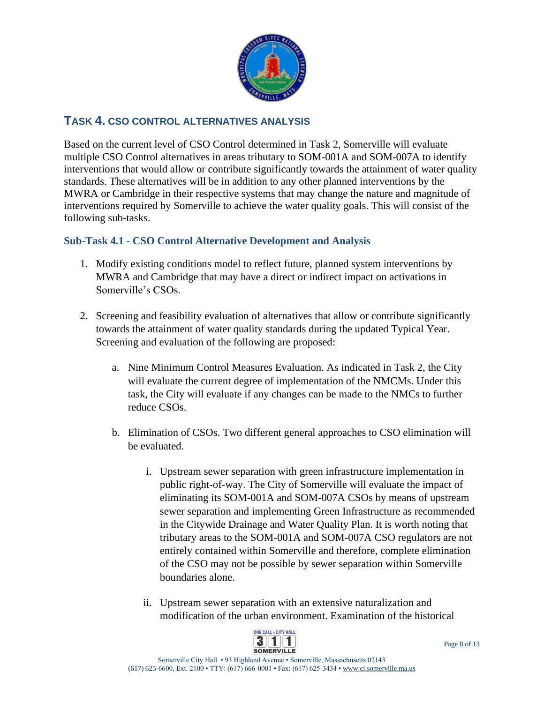

# **TASK 4. CSO CONTROL ALTERNATIVES ANALYSIS**

Based on the current level of CSO Control determined in Task 2, Somerville will evaluate multiple CSO Control alternatives in areas tributary to SOM-001A and SOM-007A to identify interventions that would allow or contribute significantly towards the attainment of water quality standards. These alternatives will be in addition to any other planned interventions by the MWRA or Cambridge in their respective systems that may change the nature and magnitude of interventions required by Somerville to achieve the water quality goals. This will consist of the following sub-tasks.

#### **Sub-Task 4.1 - CSO Control Alternative Development and Analysis**

- 1. Modify existing conditions model to reflect future, planned system interventions by MWRA and Cambridge that may have a direct or indirect impact on activations in Somerville's CSOs.
- 2. Screening and feasibility evaluation of alternatives that allow or contribute significantly towards the attainment of water quality standards during the updated Typical Year. Screening and evaluation of the following are proposed:
	- a. Nine Minimum Control Measures Evaluation. As indicated in Task 2, the City will evaluate the current degree of implementation of the NMCMs. Under this task, the City will evaluate if any changes can be made to the NMCs to further reduce CSOs.
	- b. Elimination of CSOs. Two different general approaches to CSO elimination will be evaluated.
		- i. Upstream sewer separation with green infrastructure implementation in public right-of-way. The City of Somerville will evaluate the impact of eliminating its SOM-001A and SOM-007A CSOs by means of upstream sewer separation and implementing Green Infrastructure as recommended in the Citywide Drainage and Water Quality Plan. It is worth noting that tributary areas to the SOM-001A and SOM-007A CSO regulators are not entirely contained within Somerville and therefore, complete elimination of the CSO may not be possible by sewer separation within Somerville boundaries alone.
		- ii. Upstream sewer separation with an extensive naturalization and modification of the urban environment. Examination of the historical

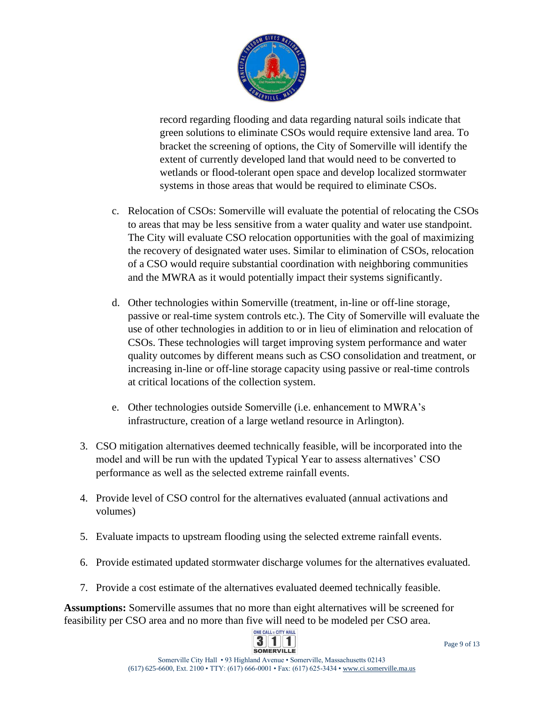

record regarding flooding and data regarding natural soils indicate that green solutions to eliminate CSOs would require extensive land area. To bracket the screening of options, the City of Somerville will identify the extent of currently developed land that would need to be converted to wetlands or flood-tolerant open space and develop localized stormwater systems in those areas that would be required to eliminate CSOs.

- c. Relocation of CSOs: Somerville will evaluate the potential of relocating the CSOs to areas that may be less sensitive from a water quality and water use standpoint. The City will evaluate CSO relocation opportunities with the goal of maximizing the recovery of designated water uses. Similar to elimination of CSOs, relocation of a CSO would require substantial coordination with neighboring communities and the MWRA as it would potentially impact their systems significantly.
- d. Other technologies within Somerville (treatment, in-line or off-line storage, passive or real-time system controls etc.). The City of Somerville will evaluate the use of other technologies in addition to or in lieu of elimination and relocation of CSOs. These technologies will target improving system performance and water quality outcomes by different means such as CSO consolidation and treatment, or increasing in-line or off-line storage capacity using passive or real-time controls at critical locations of the collection system.
- e. Other technologies outside Somerville (i.e. enhancement to MWRA's infrastructure, creation of a large wetland resource in Arlington).
- 3. CSO mitigation alternatives deemed technically feasible, will be incorporated into the model and will be run with the updated Typical Year to assess alternatives' CSO performance as well as the selected extreme rainfall events.
- 4. Provide level of CSO control for the alternatives evaluated (annual activations and volumes)
- 5. Evaluate impacts to upstream flooding using the selected extreme rainfall events.
- 6. Provide estimated updated stormwater discharge volumes for the alternatives evaluated.
- 7. Provide a cost estimate of the alternatives evaluated deemed technically feasible.

**Assumptions:** Somerville assumes that no more than eight alternatives will be screened for feasibility per CSO area and no more than five will need to be modeled per CSO area.

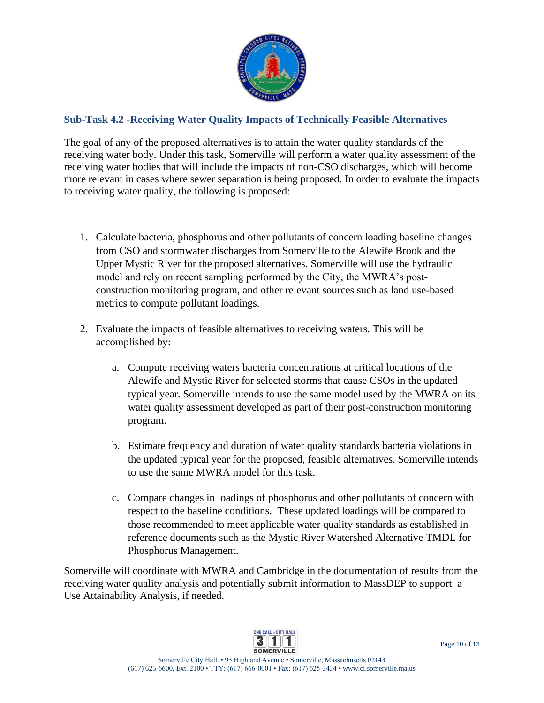

## **Sub-Task 4.2 -Receiving Water Quality Impacts of Technically Feasible Alternatives**

The goal of any of the proposed alternatives is to attain the water quality standards of the receiving water body. Under this task, Somerville will perform a water quality assessment of the receiving water bodies that will include the impacts of non-CSO discharges, which will become more relevant in cases where sewer separation is being proposed. In order to evaluate the impacts to receiving water quality, the following is proposed:

- 1. Calculate bacteria, phosphorus and other pollutants of concern loading baseline changes from CSO and stormwater discharges from Somerville to the Alewife Brook and the Upper Mystic River for the proposed alternatives. Somerville will use the hydraulic model and rely on recent sampling performed by the City, the MWRA's postconstruction monitoring program, and other relevant sources such as land use-based metrics to compute pollutant loadings.
- 2. Evaluate the impacts of feasible alternatives to receiving waters. This will be accomplished by:
	- a. Compute receiving waters bacteria concentrations at critical locations of the Alewife and Mystic River for selected storms that cause CSOs in the updated typical year. Somerville intends to use the same model used by the MWRA on its water quality assessment developed as part of their post-construction monitoring program.
	- b. Estimate frequency and duration of water quality standards bacteria violations in the updated typical year for the proposed, feasible alternatives. Somerville intends to use the same MWRA model for this task.
	- c. Compare changes in loadings of phosphorus and other pollutants of concern with respect to the baseline conditions. These updated loadings will be compared to those recommended to meet applicable water quality standards as established in reference documents such as the Mystic River Watershed Alternative TMDL for Phosphorus Management.

Somerville will coordinate with MWRA and Cambridge in the documentation of results from the receiving water quality analysis and potentially submit information to MassDEP to support a Use Attainability Analysis, if needed.

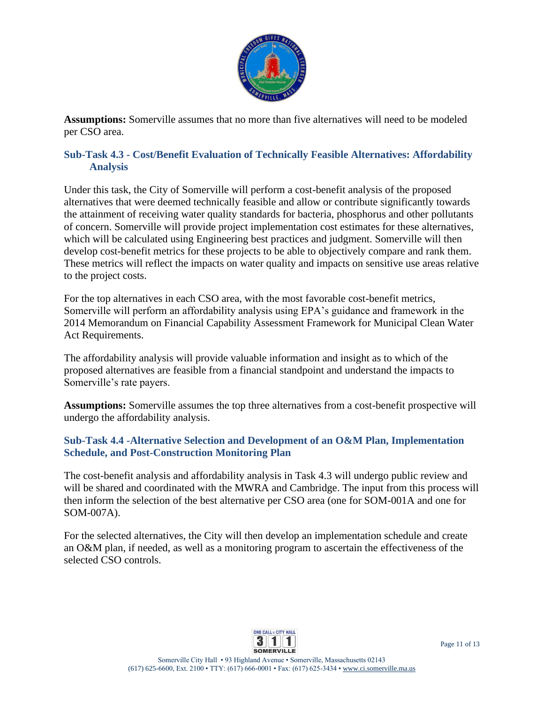

**Assumptions:** Somerville assumes that no more than five alternatives will need to be modeled per CSO area.

#### **Sub-Task 4.3 - Cost/Benefit Evaluation of Technically Feasible Alternatives: Affordability Analysis**

Under this task, the City of Somerville will perform a cost-benefit analysis of the proposed alternatives that were deemed technically feasible and allow or contribute significantly towards the attainment of receiving water quality standards for bacteria, phosphorus and other pollutants of concern. Somerville will provide project implementation cost estimates for these alternatives, which will be calculated using Engineering best practices and judgment. Somerville will then develop cost-benefit metrics for these projects to be able to objectively compare and rank them. These metrics will reflect the impacts on water quality and impacts on sensitive use areas relative to the project costs.

For the top alternatives in each CSO area, with the most favorable cost-benefit metrics, Somerville will perform an affordability analysis using EPA's guidance and framework in the 2014 Memorandum on Financial Capability Assessment Framework for Municipal Clean Water Act Requirements.

The affordability analysis will provide valuable information and insight as to which of the proposed alternatives are feasible from a financial standpoint and understand the impacts to Somerville's rate payers.

**Assumptions:** Somerville assumes the top three alternatives from a cost-benefit prospective will undergo the affordability analysis.

#### **Sub-Task 4.4 -Alternative Selection and Development of an O&M Plan, Implementation Schedule, and Post-Construction Monitoring Plan**

The cost-benefit analysis and affordability analysis in Task 4.3 will undergo public review and will be shared and coordinated with the MWRA and Cambridge. The input from this process will then inform the selection of the best alternative per CSO area (one for SOM-001A and one for SOM-007A).

For the selected alternatives, the City will then develop an implementation schedule and create an O&M plan, if needed, as well as a monitoring program to ascertain the effectiveness of the selected CSO controls.

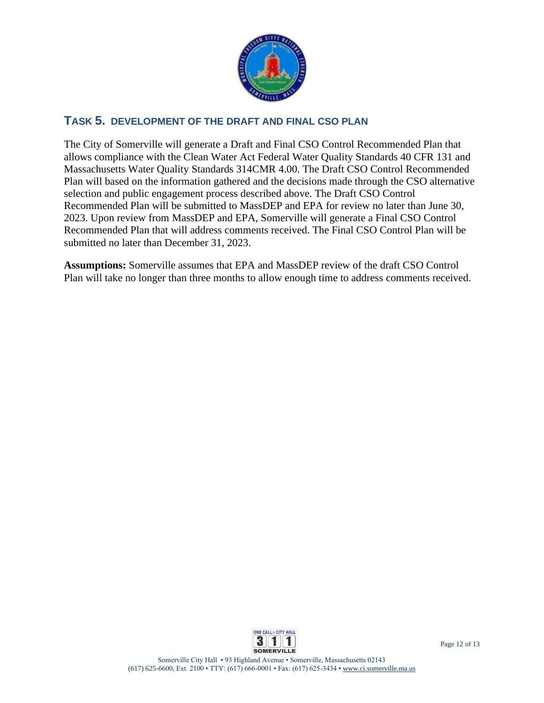

## **TASK 5. DEVELOPMENT OF THE DRAFT AND FINAL CSO PLAN**

The City of Somerville will generate a Draft and Final CSO Control Recommended Plan that allows compliance with the Clean Water Act Federal Water Quality Standards 40 CFR 131 and Massachusetts Water Quality Standards 314CMR 4.00. The Draft CSO Control Recommended Plan will based on the information gathered and the decisions made through the CSO alternative selection and public engagement process described above. The Draft CSO Control Recommended Plan will be submitted to MassDEP and EPA for review no later than June 30, 2023. Upon review from MassDEP and EPA, Somerville will generate a Final CSO Control Recommended Plan that will address comments received. The Final CSO Control Plan will be submitted no later than December 31, 2023.

**Assumptions:** Somerville assumes that EPA and MassDEP review of the draft CSO Control Plan will take no longer than three months to allow enough time to address comments received.